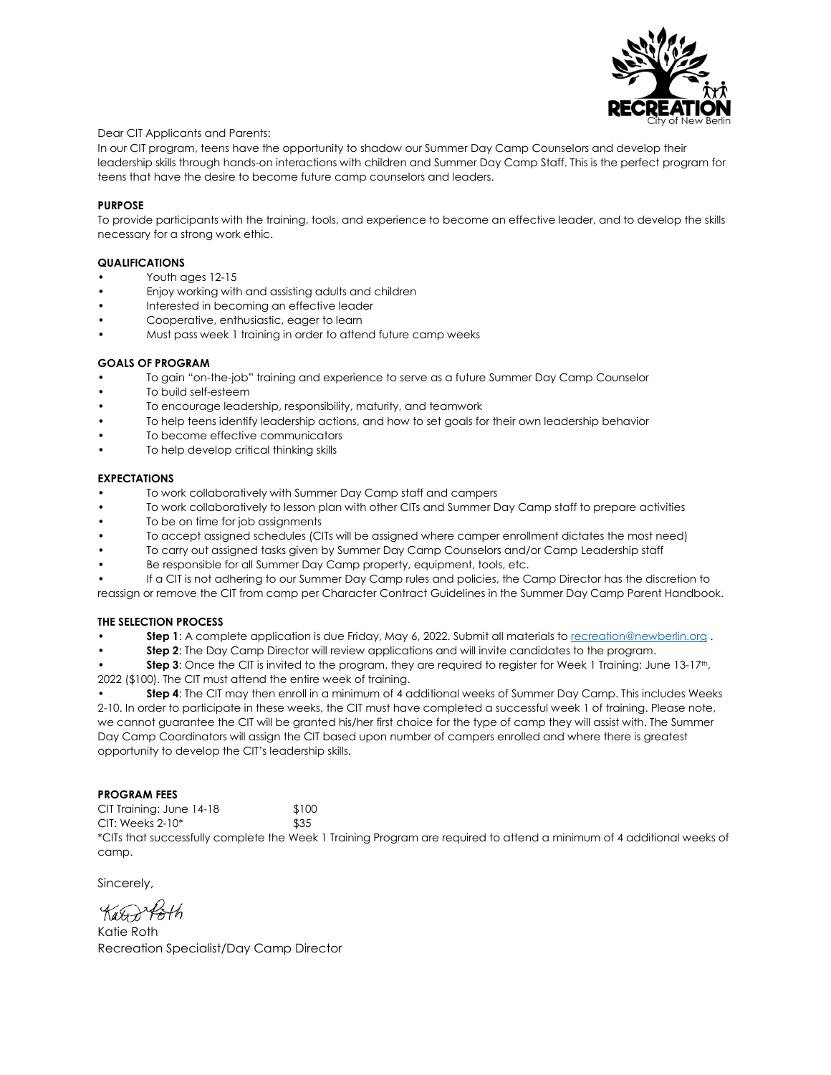

### Dear CIT Applicants and Parents:

In our CIT program, teens have the opportunity to shadow our Summer Day Camp Counselors and develop their leadership skills through hands-on interactions with children and Summer Day Camp Staff. This is the perfect program for teens that have the desire to become future camp counselors and leaders.

## **PURPOSE**

To provide participants with the training, tools, and experience to become an effective leader, and to develop the skills necessary for a strong work ethic.

### **QUALIFICATIONS**

- Youth ages 12-15
- Enjoy working with and assisting adults and children
- Interested in becoming an effective leader
- Cooperative, enthusiastic, eager to learn
- Must pass week 1 training in order to attend future camp weeks

### **GOALS OF PROGRAM**

- To gain "on-the-job" training and experience to serve as a future Summer Day Camp Counselor
- To build self-esteem
- To encourage leadership, responsibility, maturity, and teamwork
- To help teens identify leadership actions, and how to set goals for their own leadership behavior
- To become effective communicators
- To help develop critical thinking skills

### **EXPECTATIONS**

- To work collaboratively with Summer Day Camp staff and campers
- To work collaboratively to lesson plan with other CITs and Summer Day Camp staff to prepare activities
- To be on time for job assignments
- To accept assigned schedules (CITs will be assigned where camper enrollment dictates the most need)
- To carry out assigned tasks given by Summer Day Camp Counselors and/or Camp Leadership staff
- Be responsible for all Summer Day Camp property, equipment, tools, etc.
- If a CIT is not adhering to our Summer Day Camp rules and policies, the Camp Director has the discretion to

reassign or remove the CIT from camp per Character Contract Guidelines in the Summer Day Camp Parent Handbook.

## **THE SELECTION PROCESS**

- **Step 1**: A complete application is due Friday, May 6, 2022. Submit all materials t[o recreation@newberlin.org](mailto:recreation@newberlin.org) .
- **Step 2**: The Day Camp Director will review applications and will invite candidates to the program.

**Step 3**: Once the CIT is invited to the program, they are required to register for Week 1 Training: June 13-17<sup>th</sup>, 2022 (\$100). The CIT must attend the entire week of training.

• **Step 4**: The CIT may then enroll in a minimum of 4 additional weeks of Summer Day Camp. This includes Weeks 2-10. In order to participate in these weeks, the CIT must have completed a successful week 1 of training. Please note, we cannot guarantee the CIT will be granted his/her first choice for the type of camp they will assist with. The Summer Day Camp Coordinators will assign the CIT based upon number of campers enrolled and where there is greatest opportunity to develop the CIT's leadership skills.

## **PROGRAM FEES**

CIT Training: June 14-18 \$100 CIT: Weeks 2-10\* \$35

\*CITs that successfully complete the Week 1 Training Program are required to attend a minimum of 4 additional weeks of camp.

Sincerely,

Karont

Katie Roth Recreation Specialist/Day Camp Director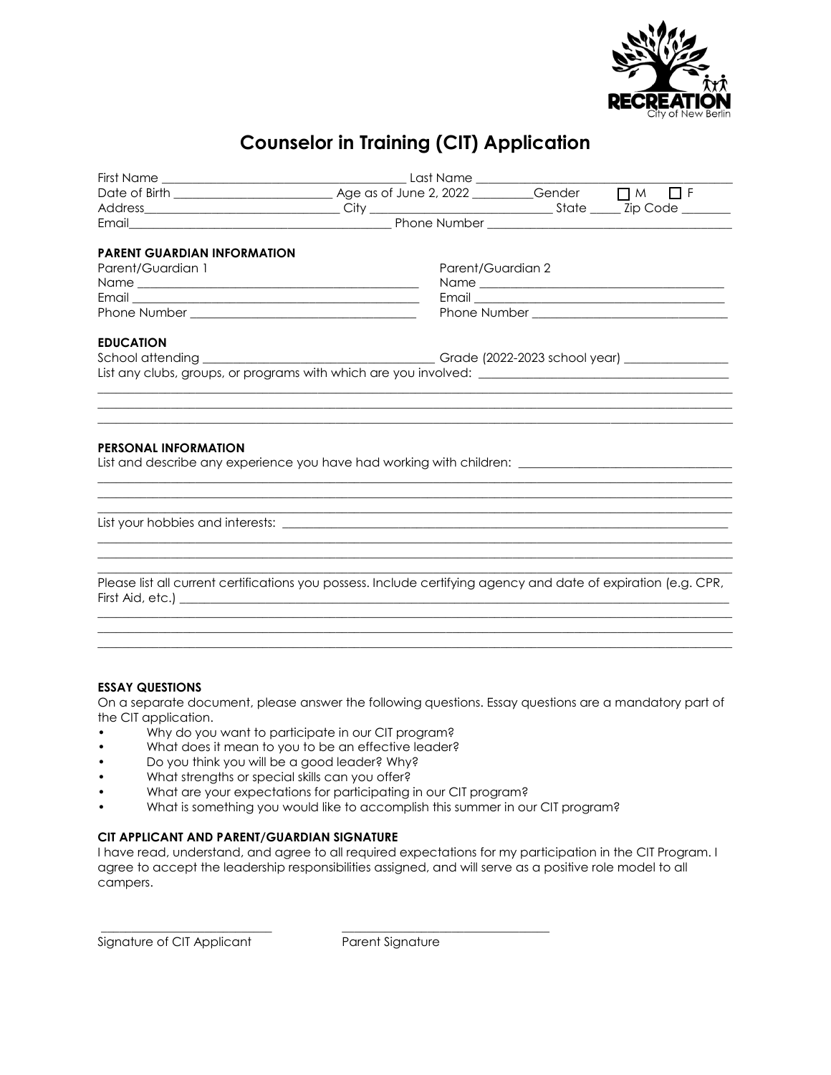

# **Counselor in Training (CIT) Application**

| PARENT GUARDIAN INFORMATION |                   |                                                                                                                                                                                                                                                                             |
|-----------------------------|-------------------|-----------------------------------------------------------------------------------------------------------------------------------------------------------------------------------------------------------------------------------------------------------------------------|
| Parent/Guardian 1           | Parent/Guardian 2 |                                                                                                                                                                                                                                                                             |
|                             |                   |                                                                                                                                                                                                                                                                             |
|                             |                   |                                                                                                                                                                                                                                                                             |
|                             |                   |                                                                                                                                                                                                                                                                             |
| <b>EDUCATION</b>            |                   |                                                                                                                                                                                                                                                                             |
|                             |                   |                                                                                                                                                                                                                                                                             |
|                             |                   | List any clubs, groups, or programs with which are you involved: __________________________________                                                                                                                                                                         |
| <b>PERSONAL INFORMATION</b> |                   | ,我们也不会有什么?""我们的人,我们也不会有什么?""我们的人,我们也不会有什么?""我们的人,我们也不会有什么?""我们的人,我们也不会有什么?""我们的人<br>List and describe any experience you have had working with children: ______________________________<br>,我们也不会有什么?""我们的人,我们也不会有什么?""我们的人,我们也不会有什么?""我们的人,我们也不会有什么?""我们的人,我们也不会有什么?""我们的人 |
|                             |                   | ,我们也不会有什么。""我们的人,我们也不会有什么?""我们的人,我们也不会有什么?""我们的人,我们也不会有什么?""我们的人,我们也不会有什么?""我们的人                                                                                                                                                                                            |
|                             |                   |                                                                                                                                                                                                                                                                             |

## **ESSAY QUESTIONS**

On a separate document, please answer the following questions. Essay questions are a mandatory part of the CIT application.

 $\bot$  , and the state of the state of the state of the state of the state of the state of the state of the state of the state of the state of the state of the state of the state of the state of the state of the state of th  $\bot$  , and the contribution of the contribution of the contribution of the contribution of the contribution of the contribution of the contribution of the contribution of the contribution of the contribution of the contri

- Why do you want to participate in our CIT program?
- What does it mean to you to be an effective leader?
- Do you think you will be a good leader? Why?
- What strengths or special skills can you offer?
- What are your expectations for participating in our CIT program?

\_\_\_\_\_\_\_\_\_\_\_\_\_\_\_\_\_\_\_\_\_\_\_\_\_\_\_\_ \_\_\_\_\_\_\_\_\_\_\_\_\_\_\_\_\_\_\_\_\_\_\_\_\_\_\_\_\_\_\_\_\_\_

• What is something you would like to accomplish this summer in our CIT program?

# **CIT APPLICANT AND PARENT/GUARDIAN SIGNATURE**

I have read, understand, and agree to all required expectations for my participation in the CIT Program. I agree to accept the leadership responsibilities assigned, and will serve as a positive role model to all campers.

Signature of CIT Applicant Parent Signature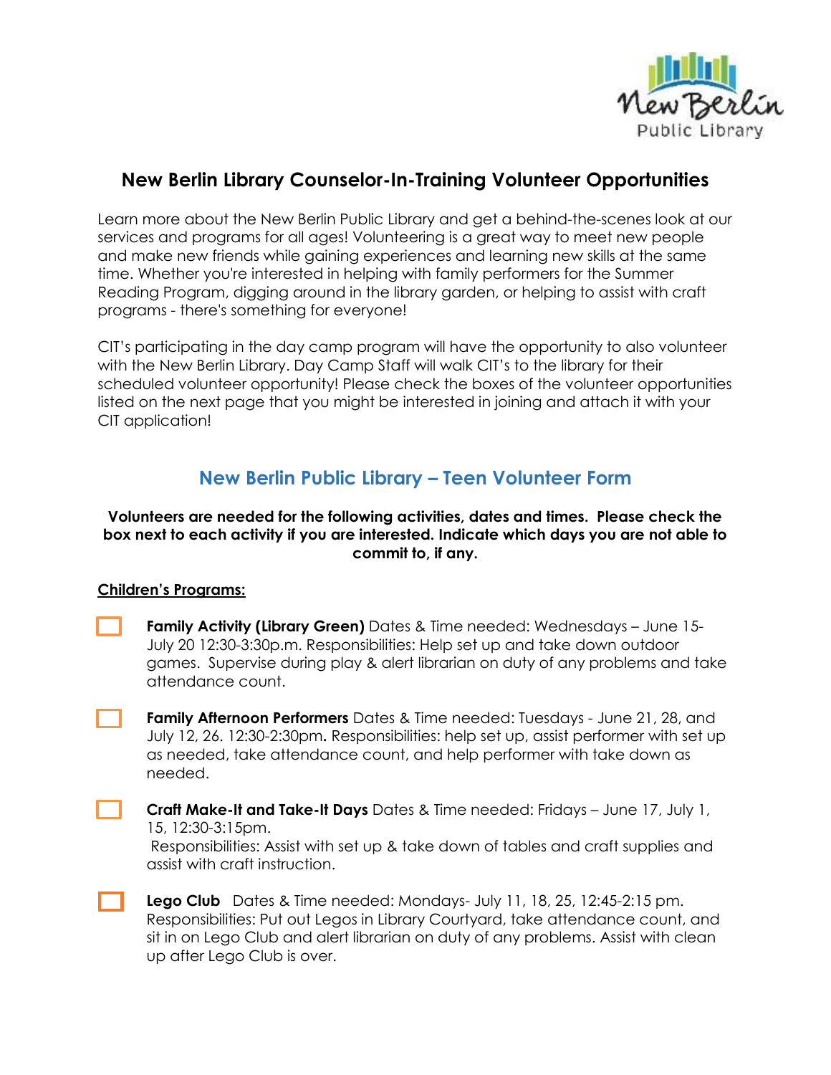

# **New Berlin Library Counselor-In-Training Volunteer Opportunities**

Learn more about the New Berlin Public Library and get a behind-the-scenes look at our services and programs for all ages! Volunteering is a great way to meet new people and make new friends while gaining experiences and learning new skills at the same time. Whether you're interested in helping with family performers for the Summer Reading Program, digging around in the library garden, or helping to assist with craft programs - there's something for everyone!

CIT's participating in the day camp program will have the opportunity to also volunteer with the New Berlin Library. Day Camp Staff will walk CIT's to the library for their scheduled volunteer opportunity! Please check the boxes of the volunteer opportunities listed on the next page that you might be interested in joining and attach it with your CIT application!

# **New Berlin Public Library – Teen Volunteer Form**

# **Volunteers are needed for the following activities, dates and times. Please check the box next to each activity if you are interested. Indicate which days you are not able to commit to, if any.**

# **Children's Programs:**

| <b>Family Activity (Library Green)</b> Dates & Time needed: Wednesdays - June 15- |
|-----------------------------------------------------------------------------------|
| July 20 12:30-3:30p.m. Responsibilities: Help set up and take down outdoor        |
| games. Supervise during play & alert librarian on duty of any problems and take   |
| attendance count.                                                                 |

**Family Afternoon Performers** Dates & Time needed: Tuesdays - June 21, 28, and July 12, 26. 12:30-2:30pm**.** Responsibilities: help set up, assist performer with set up as needed, take attendance count, and help performer with take down as needed.

**Craft Make-It and Take-It Days** Dates & Time needed: Fridays – June 17, July 1, 15, 12:30-3:15pm. Responsibilities: Assist with set up & take down of tables and craft supplies and

assist with craft instruction.

**Lego Club** Dates & Time needed: Mondays- July 11, 18, 25, 12:45-2:15 pm. Responsibilities: Put out Legos in Library Courtyard, take attendance count, and sit in on Lego Club and alert librarian on duty of any problems. Assist with clean up after Lego Club is over.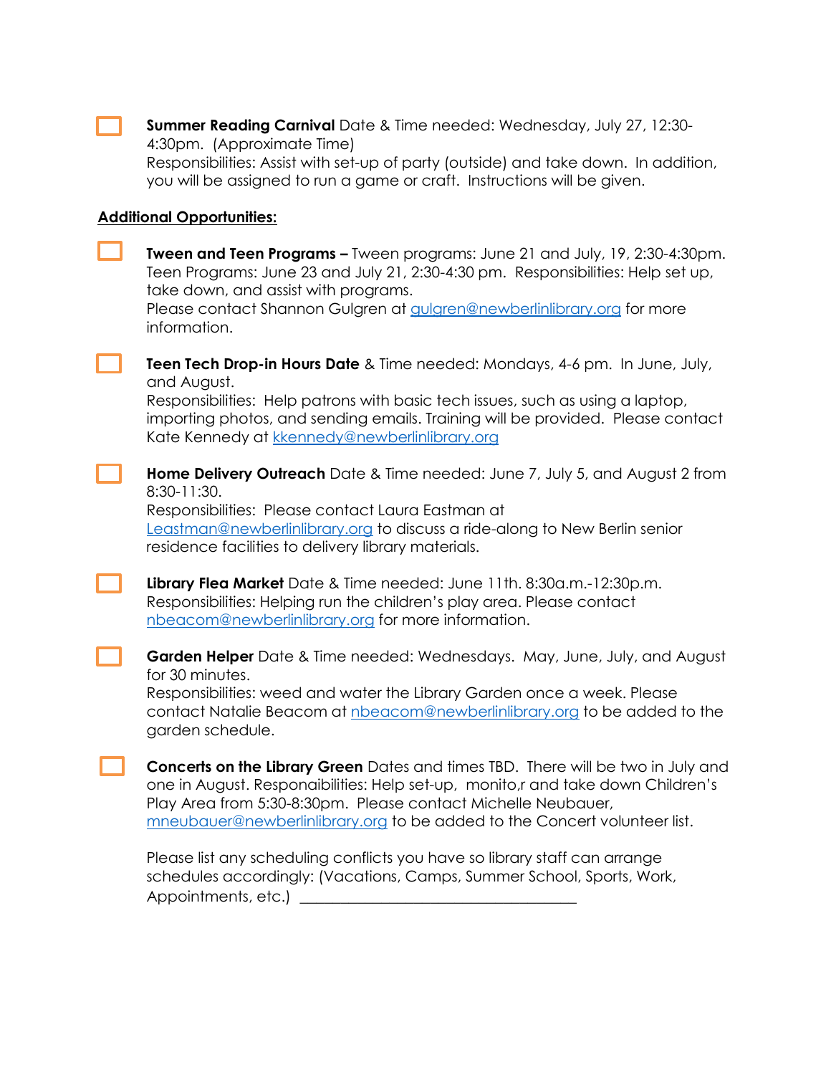| <b>Summer Reading Carnival</b> Date & Time needed: Wednesday, July 27, 12:30-   |  |
|---------------------------------------------------------------------------------|--|
| 4:30pm. (Approximate Time)                                                      |  |
| Beconomibilities: Assist with set up of party (outside) and take down In additi |  |

Responsibilities: Assist with set-up of party (outside) and take down. In addition, you will be assigned to run a game or craft. Instructions will be given.

# **Additional Opportunities:**

| <b>Tween and Teen Programs - Tween programs: June 21 and July, 19, 2:30-4:30pm.</b><br>Teen Programs: June 23 and July 21, 2:30-4:30 pm. Responsibilities: Help set up,<br>take down, and assist with programs.<br>Please contact Shannon Gulgren at gulgren@newberlinlibrary.org for more<br>information.                  |
|-----------------------------------------------------------------------------------------------------------------------------------------------------------------------------------------------------------------------------------------------------------------------------------------------------------------------------|
| <b>Teen Tech Drop-in Hours Date &amp; Time needed: Mondays, 4-6 pm. In June, July,</b><br>and August.<br>Responsibilities: Help patrons with basic tech issues, such as using a laptop,<br>importing photos, and sending emails. Training will be provided. Please contact<br>Kate Kennedy at kkennedy@newberlinlibrary.org |
| <b>Home Delivery Outreach</b> Date & Time needed: June 7, July 5, and August 2 from<br>8:30-11:30.<br>Responsibilities: Please contact Laura Eastman at<br>Leastman@newberlinlibrary.org to discuss a ride-along to New Berlin senior<br>residence facilities to delivery library materials.                                |
| Library Flea Market Date & Time needed: June 11th. 8:30a.m.-12:30p.m.<br>Responsibilities: Helping run the children's play area. Please contact<br>nbeacom@newberlinlibrary.org for more information.                                                                                                                       |
| Garden Helper Date & Time needed: Wednesdays. May, June, July, and August<br>for 30 minutes.<br>Responsibilities: weed and water the Library Garden once a week. Please<br>contact Natalie Beacom at nbeacom@newberlinlibrary.org to be added to the<br>garden schedule.                                                    |
| Concerts on the Library Green Dates and times TBD. There will be two in July and<br>one in August. Responaibilities: Help set-up, monito,r and take down Children's<br>Play Area from 5:30-8:30pm. Please contact Michelle Neubauer,<br>mneubauer@newberlinlibrary.org to be added to the Concert volunteer list.           |
| Please list any scheduling conflicts you have so library staff can arrange                                                                                                                                                                                                                                                  |

schedules accordingly: (Vacations, Camps, Summer School, Sports, Work, Appointments, etc.) \_\_\_\_\_\_\_\_\_\_\_\_\_\_\_\_\_\_\_\_\_\_\_\_\_\_\_\_\_\_\_\_\_\_